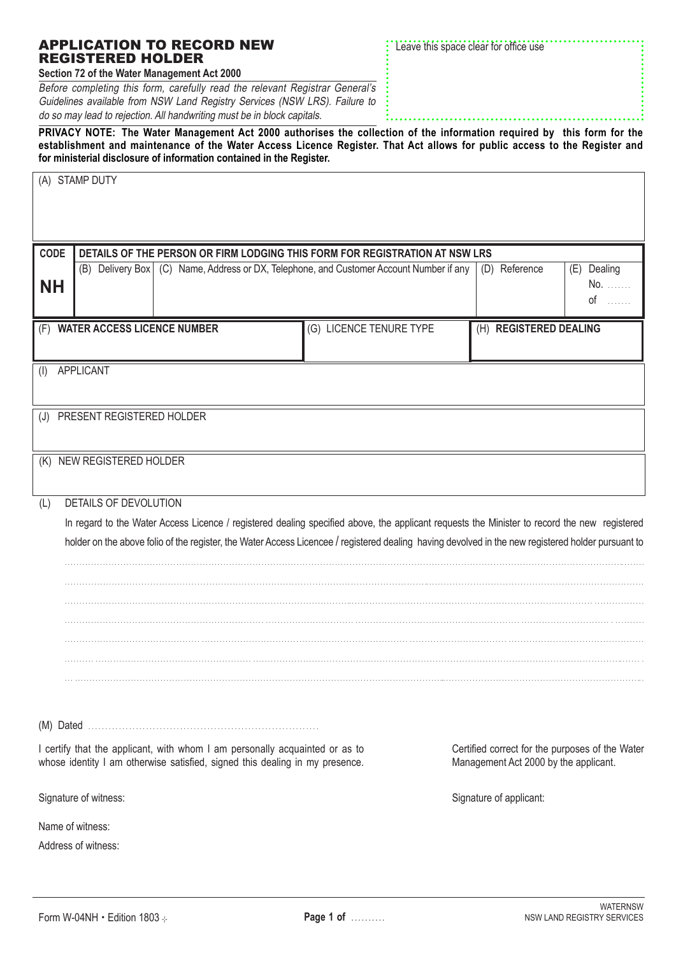| establishment and maintenance of the Water Access Licence Register. That Act allows for public access to the Register and<br>for ministerial disclosure of information contained in the Register. |                                                                                                                                                             |                                                                                          |                                                                                                                                              |                        |                    |  |  |
|---------------------------------------------------------------------------------------------------------------------------------------------------------------------------------------------------|-------------------------------------------------------------------------------------------------------------------------------------------------------------|------------------------------------------------------------------------------------------|----------------------------------------------------------------------------------------------------------------------------------------------|------------------------|--------------------|--|--|
|                                                                                                                                                                                                   | (A) STAMP DUTY                                                                                                                                              |                                                                                          |                                                                                                                                              |                        |                    |  |  |
|                                                                                                                                                                                                   |                                                                                                                                                             |                                                                                          |                                                                                                                                              |                        |                    |  |  |
| <b>CODE</b>                                                                                                                                                                                       |                                                                                                                                                             |                                                                                          | DETAILS OF THE PERSON OR FIRM LODGING THIS FORM FOR REGISTRATION AT NSW LRS                                                                  |                        |                    |  |  |
|                                                                                                                                                                                                   | (B) Delivery Box   (C) Name, Address or DX, Telephone, and Customer Account Number if any                                                                   |                                                                                          |                                                                                                                                              | (D) Reference          | (E) Dealing<br>No. |  |  |
| <b>NH</b>                                                                                                                                                                                         |                                                                                                                                                             |                                                                                          |                                                                                                                                              |                        | $of$               |  |  |
|                                                                                                                                                                                                   | (F) WATER ACCESS LICENCE NUMBER                                                                                                                             |                                                                                          | (G) LICENCE TENURE TYPE                                                                                                                      | (H) REGISTERED DEALING |                    |  |  |
|                                                                                                                                                                                                   |                                                                                                                                                             |                                                                                          |                                                                                                                                              |                        |                    |  |  |
| APPLICANT<br>(1)                                                                                                                                                                                  |                                                                                                                                                             |                                                                                          |                                                                                                                                              |                        |                    |  |  |
| (J) PRESENT REGISTERED HOLDER                                                                                                                                                                     |                                                                                                                                                             |                                                                                          |                                                                                                                                              |                        |                    |  |  |
|                                                                                                                                                                                                   |                                                                                                                                                             |                                                                                          |                                                                                                                                              |                        |                    |  |  |
| (K) NEW REGISTERED HOLDER                                                                                                                                                                         |                                                                                                                                                             |                                                                                          |                                                                                                                                              |                        |                    |  |  |
| (L)                                                                                                                                                                                               | DETAILS OF DEVOLUTION                                                                                                                                       |                                                                                          |                                                                                                                                              |                        |                    |  |  |
|                                                                                                                                                                                                   |                                                                                                                                                             |                                                                                          | In regard to the Water Access Licence / registered dealing specified above, the applicant requests the Minister to record the new registered |                        |                    |  |  |
|                                                                                                                                                                                                   | holder on the above folio of the register, the Water Access Licencee / registered dealing having devolved in the new registered holder pursuant to          |                                                                                          |                                                                                                                                              |                        |                    |  |  |
|                                                                                                                                                                                                   |                                                                                                                                                             |                                                                                          |                                                                                                                                              |                        |                    |  |  |
|                                                                                                                                                                                                   |                                                                                                                                                             |                                                                                          |                                                                                                                                              |                        |                    |  |  |
|                                                                                                                                                                                                   |                                                                                                                                                             |                                                                                          |                                                                                                                                              |                        |                    |  |  |
|                                                                                                                                                                                                   |                                                                                                                                                             |                                                                                          |                                                                                                                                              |                        |                    |  |  |
|                                                                                                                                                                                                   |                                                                                                                                                             |                                                                                          |                                                                                                                                              |                        |                    |  |  |
|                                                                                                                                                                                                   |                                                                                                                                                             |                                                                                          |                                                                                                                                              |                        |                    |  |  |
|                                                                                                                                                                                                   | I certify that the applicant, with whom I am personally acquainted or as to<br>whose identity I am otherwise satisfied, signed this dealing in my presence. | Certified correct for the purposes of the Water<br>Management Act 2000 by the applicant. |                                                                                                                                              |                        |                    |  |  |
|                                                                                                                                                                                                   | Signature of witness:                                                                                                                                       | Signature of applicant:                                                                  |                                                                                                                                              |                        |                    |  |  |
| Name of witness:                                                                                                                                                                                  |                                                                                                                                                             |                                                                                          |                                                                                                                                              |                        |                    |  |  |
| Address of witness:                                                                                                                                                                               |                                                                                                                                                             |                                                                                          |                                                                                                                                              |                        |                    |  |  |
|                                                                                                                                                                                                   |                                                                                                                                                             |                                                                                          |                                                                                                                                              |                        |                    |  |  |

**PRIVACY NOTE: The Water Management Act 2000 authorises the collection of the information required by this form for the** 

## APPLICATION TO RECORD NEW REGISTERED HOLDER

**Section 72 of the Water Management Act 2000**

Before completing this form, carefully read the relevant Registrar General's Guidelines available from NSW Land Registry Services (NSW LRS). Failure to do so may lead to rejection. All handwriting must be in block capitals.

Leave this space clear for office use ₹